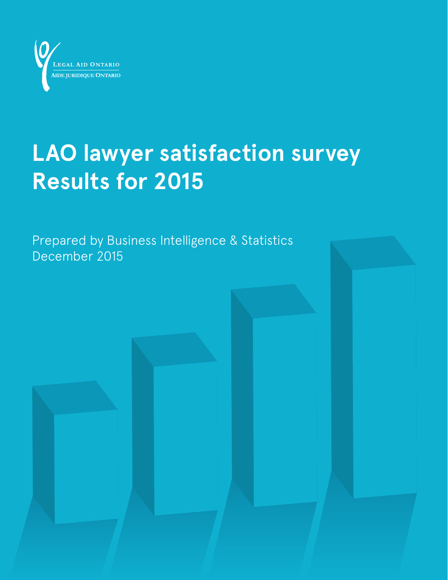

# **LAO lawyer satisfaction survey Results for 2015**

Prepared by Business Intelligence & Statistics December 2015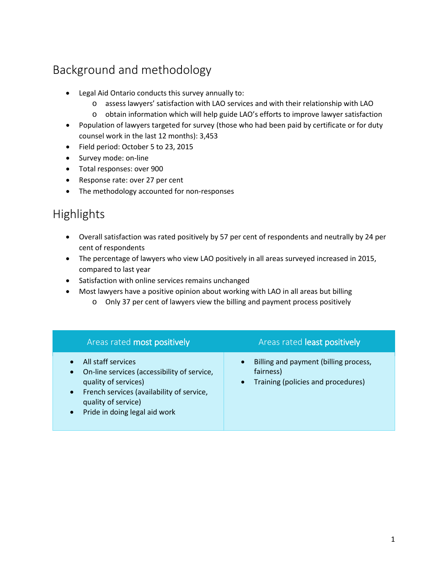## Background and methodology

- Legal Aid Ontario conducts this survey annually to:
	- o assess lawyers' satisfaction with LAO services and with their relationship with LAO
	- o obtain information which will help guide LAO's efforts to improve lawyer satisfaction
- Population of lawyers targeted for survey (those who had been paid by certificate or for duty counsel work in the last 12 months): 3,453
- Field period: October 5 to 23, 2015
- Survey mode: on-line
- Total responses: over 900
- Response rate: over 27 per cent
- The methodology accounted for non-responses

### Highlights

- Overall satisfaction was rated positively by 57 per cent of respondents and neutrally by 24 per cent of respondents
- The percentage of lawyers who view LAO positively in all areas surveyed increased in 2015, compared to last year
- Satisfaction with online services remains unchanged
- Most lawyers have a positive opinion about working with LAO in all areas but billing
	- o Only 37 per cent of lawyers view the billing and payment process positively

| Areas rated most positively                                                                                                                                                                                                           | Areas rated least positively                                                                                       |
|---------------------------------------------------------------------------------------------------------------------------------------------------------------------------------------------------------------------------------------|--------------------------------------------------------------------------------------------------------------------|
| All staff services<br>On-line services (accessibility of service,<br>$\bullet$<br>quality of services)<br>French services (availability of service,<br>$\bullet$<br>quality of service)<br>Pride in doing legal aid work<br>$\bullet$ | Billing and payment (billing process,<br>$\bullet$<br>fairness)<br>Training (policies and procedures)<br>$\bullet$ |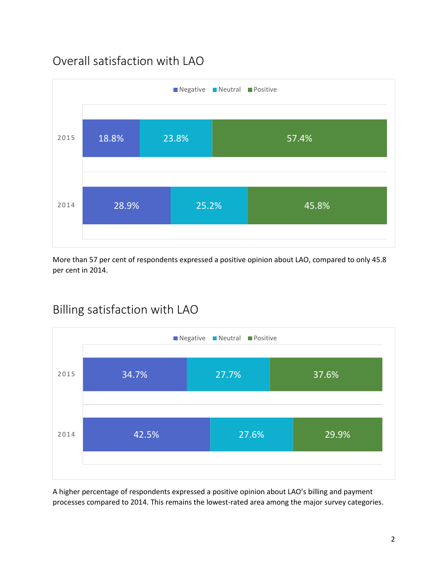## Overall satisfaction with LAO



More than 57 per cent of respondents expressed a positive opinion about LAO, compared to only 45.8 per cent in 2014.



### Billing satisfaction with LAO

A higher percentage of respondents expressed a positive opinion about LAO's billing and payment processes compared to 2014. This remains the lowest-rated area among the major survey categories.